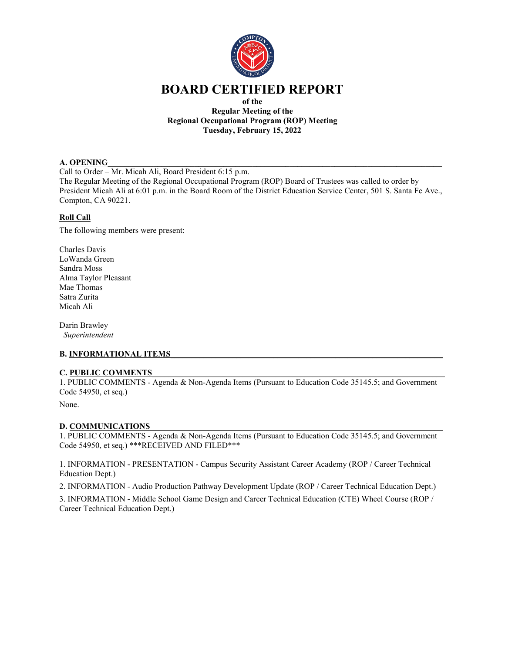

# **BOARD CERTIFIED REPORT**

**of the Regular Meeting of the Regional Occupational Program (ROP) Meeting Tuesday, February 15, 2022**

#### **A. OPENING**

Call to Order – Mr. Micah Ali, Board President 6:15 p.m.

The Regular Meeting of the Regional Occupational Program (ROP) Board of Trustees was called to order by President Micah Ali at 6:01 p.m. in the Board Room of the District Education Service Center, 501 S. Santa Fe Ave., Compton, CA 90221.

## **Roll Call**

The following members were present:

Charles Davis LoWanda Green Sandra Moss Alma Taylor Pleasant Mae Thomas Satra Zurita Micah Ali

Darin Brawley *Superintendent*

## **B. INFORMATIONAL ITEMS**

#### **C. PUBLIC COMMENTS**\_\_\_\_\_\_\_\_\_\_\_\_\_\_\_\_\_\_\_\_\_\_\_\_\_\_\_\_\_\_\_\_\_\_\_\_\_\_\_\_\_\_\_\_\_\_\_\_\_\_\_\_\_\_\_\_\_\_\_\_\_\_\_\_\_\_\_\_\_\_\_

1. PUBLIC COMMENTS - Agenda & Non-Agenda Items (Pursuant to Education Code 35145.5; and Government Code 54950, et seq.)

None.

## **D. COMMUNICATIONS**

1. PUBLIC COMMENTS - Agenda & Non-Agenda Items (Pursuant to Education Code 35145.5; and Government Code 54950, et seq.) \*\*\*RECEIVED AND FILED\*\*\*

1. INFORMATION - PRESENTATION - Campus Security Assistant Career Academy (ROP / Career Technical Education Dept.)

2. INFORMATION - Audio Production Pathway Development Update (ROP / Career Technical Education Dept.) 3. INFORMATION - Middle School Game Design and Career Technical Education (CTE) Wheel Course (ROP / Career Technical Education Dept.)